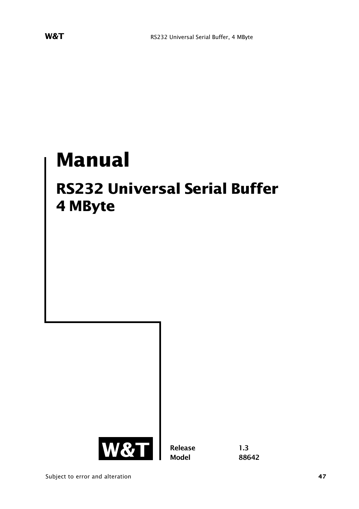# **Manual**

## **RS232 Universal Serial Buffer 4 MByte**



**Release 1.3 Model 88642**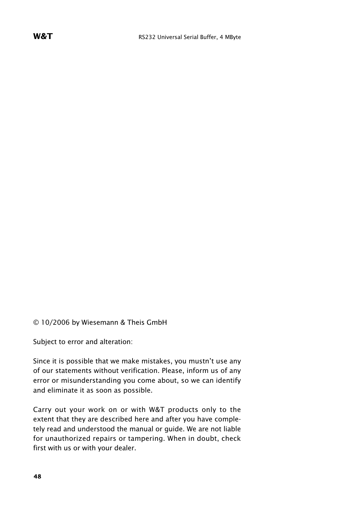© 10/2006 by Wiesemann & Theis GmbH

Subject to error and alteration:

Since it is possible that we make mistakes, you mustn't use any of our statements without verification. Please, inform us of any error or misunderstanding you come about, so we can identify and eliminate it as soon as possible.

Carry out your work on or with W&T products only to the extent that they are described here and after you have completely read and understood the manual or guide. We are not liable for unauthorized repairs or tampering. When in doubt, check first with us or with your dealer.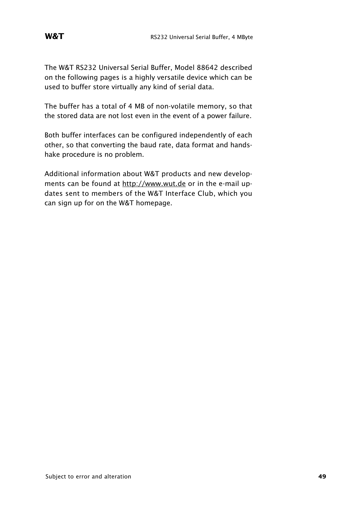The W&T RS232 Universal Serial Buffer, Model 88642 described on the following pages is a highly versatile device which can be used to buffer store virtually any kind of serial data.

The buffer has a total of 4 MB of non-volatile memory, so that the stored data are not lost even in the event of a power failure.

Both buffer interfaces can be configured independently of each other, so that converting the baud rate, data format and handshake procedure is no problem.

Additional information about W&T products and new developments can be found at http://www.wut.de or in the e-mail updates sent to members of the W&T Interface Club, which you can sign up for on the W&T homepage.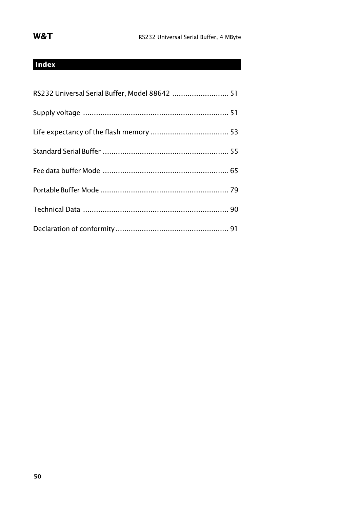## **Index**

| RS232 Universal Serial Buffer, Model 88642  51 |  |
|------------------------------------------------|--|
|                                                |  |
|                                                |  |
|                                                |  |
|                                                |  |
|                                                |  |
|                                                |  |
|                                                |  |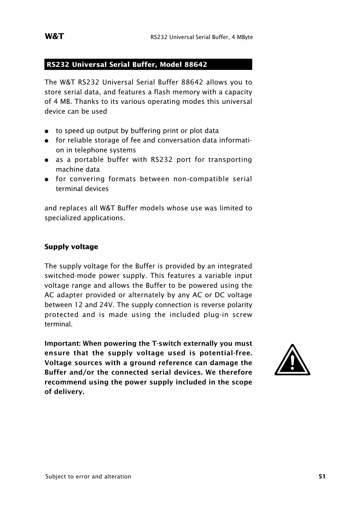#### **RS232 Universal Serial Buffer, Model 88642**

The W&T RS232 Universal Serial Buffer 88642 allows you to store serial data, and features a flash memory with a capacity of 4 MB. Thanks to its various operating modes this universal device can be used

- to speed up output by buffering print or plot data
- : for reliable storage of fee and conversation data information in telephone systems
- as a portable buffer with RS232 port for transporting machine data
- : for convering formats between non-compatible serial terminal devices

and replaces all W&T Buffer models whose use was limited to specialized applications.

#### **Supply voltage**

The supply voltage for the Buffer is provided by an integrated switched-mode power supply. This features a variable input voltage range and allows the Buffer to be powered using the AC adapter provided or alternately by any AC or DC voltage between 12 and 24V. The supply connection is reverse polarity protected and is made using the included plug-in screw terminal.

**Important: When powering the T-switch externally you must ensure that the supply voltage used is potential-free. Voltage sources with a ground reference can damage the Buffer and/or the connected serial devices. We therefore recommend using the power supply included in the scope of delivery.**

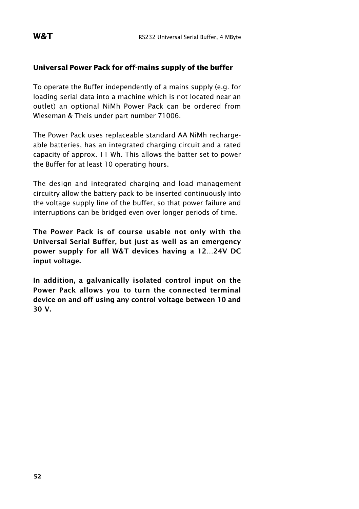#### **Universal Power Pack for off-mains supply of the buffer**

To operate the Buffer independently of a mains supply (e.g. for loading serial data into a machine which is not located near an outlet) an optional NiMh Power Pack can be ordered from Wieseman & Theis under part number 71006.

The Power Pack uses replaceable standard AA NiMh rechargeable batteries, has an integrated charging circuit and a rated capacity of approx. 11 Wh. This allows the batter set to power the Buffer for at least 10 operating hours.

The design and integrated charging and load management circuitry allow the battery pack to be inserted continuously into the voltage supply line of the buffer, so that power failure and interruptions can be bridged even over longer periods of time.

**The Power Pack is of course usable not only with the Universal Serial Buffer, but just as well as an emergency power supply for all W&T devices having a 12…24V DC input voltage.**

**In addition, a galvanically isolated control input on the Power Pack allows you to turn the connected terminal device on and off using any control voltage between 10 and 30 V.**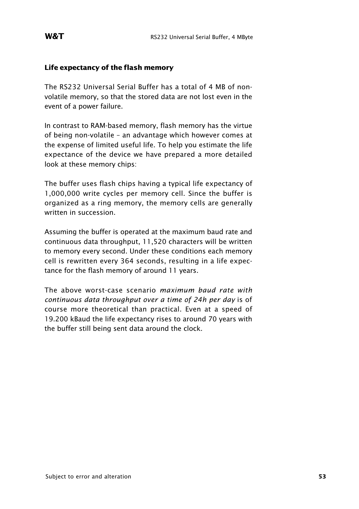#### **Life expectancy of the flash memory**

The RS232 Universal Serial Buffer has a total of 4 MB of nonvolatile memory, so that the stored data are not lost even in the event of a power failure.

In contrast to RAM-based memory, flash memory has the virtue of being non-volatile – an advantage which however comes at the expense of limited useful life. To help you estimate the life expectance of the device we have prepared a more detailed look at these memory chips:

The buffer uses flash chips having a typical life expectancy of 1,000,000 write cycles per memory cell. Since the buffer is organized as a ring memory, the memory cells are generally written in succession.

Assuming the buffer is operated at the maximum baud rate and continuous data throughput, 11,520 characters will be written to memory every second. Under these conditions each memory cell is rewritten every 364 seconds, resulting in a life expectance for the flash memory of around 11 years.

The above worst-case scenario *maximum baud rate with continuous data throughput over a time of 24h per day* is of course more theoretical than practical. Even at a speed of 19.200 kBaud the life expectancy rises to around 70 years with the buffer still being sent data around the clock.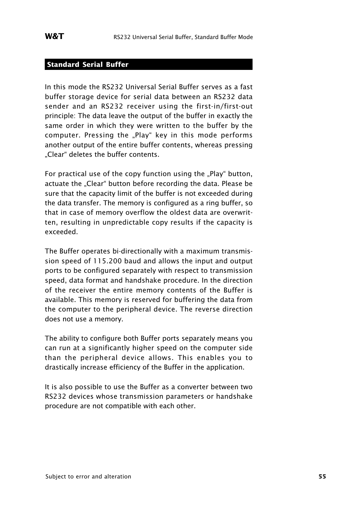#### **Standard Serial Buffer**

In this mode the RS232 Universal Serial Buffer serves as a fast buffer storage device for serial data between an RS232 data sender and an RS232 receiver using the first-in/first-out principle: The data leave the output of the buffer in exactly the same order in which they were written to the buffer by the computer. Pressing the "Play" key in this mode performs another output of the entire buffer contents, whereas pressing . Clear" deletes the buffer contents.

For practical use of the copy function using the "Play" button, actuate the "Clear" button before recording the data. Please be sure that the capacity limit of the buffer is not exceeded during the data transfer. The memory is configured as a ring buffer, so that in case of memory overflow the oldest data are overwritten, resulting in unpredictable copy results if the capacity is exceeded.

The Buffer operates bi-directionally with a maximum transmission speed of 115.200 baud and allows the input and output ports to be configured separately with respect to transmission speed, data format and handshake procedure. In the direction of the receiver the entire memory contents of the Buffer is available. This memory is reserved for buffering the data from the computer to the peripheral device. The reverse direction does not use a memory.

The ability to configure both Buffer ports separately means you can run at a significantly higher speed on the computer side than the peripheral device allows. This enables you to drastically increase efficiency of the Buffer in the application.

It is also possible to use the Buffer as a converter between two RS232 devices whose transmission parameters or handshake procedure are not compatible with each other.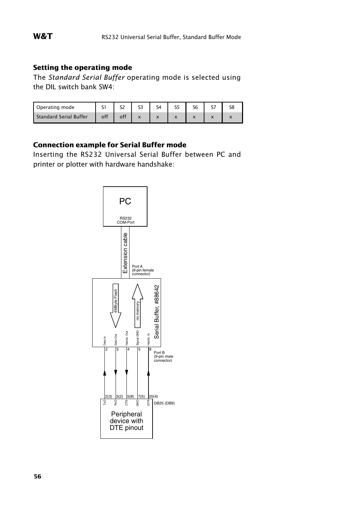#### **Setting the operating mode**

The *Standard Serial Buffer* operating mode is selected using the DIL switch bank SW4:

| Operating mode         |     | ۲Z |                      |  |  |
|------------------------|-----|----|----------------------|--|--|
| Standard Serial Buffer | off | ᄉ  | $\ddot{\phantom{1}}$ |  |  |

#### **Connection example for Serial Buffer mode**

Inserting the RS232 Universal Serial Buffer between PC and printer or plotter with hardware handshake:

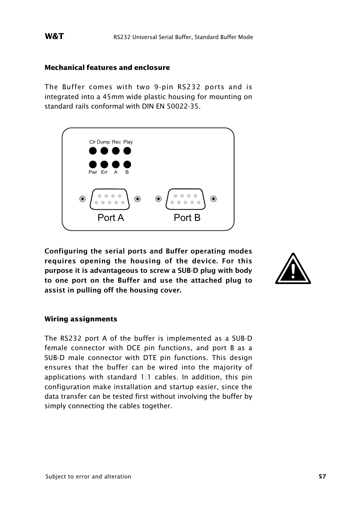#### **Mechanical features and enclosure**

The Buffer comes with two 9-pin RS232 ports and is integrated into a 45mm wide plastic housing for mounting on standard rails conformal with DIN EN 50022-35.



**Configuring the serial ports and Buffer operating modes requires opening the housing of the device. For this purpose it is advantageous to screw a SUB-D plug with body to one port on the Buffer and use the attached plug to assist in pulling off the housing cover.**



#### **Wiring assignments**

The RS232 port A of the buffer is implemented as a SUB-D female connector with DCE pin functions, and port B as a SUB-D male connector with DTE pin functions. This design ensures that the buffer can be wired into the majority of applications with standard 1:1 cables. In addition, this pin configuration make installation and startup easier, since the data transfer can be tested first without involving the buffer by simply connecting the cables together.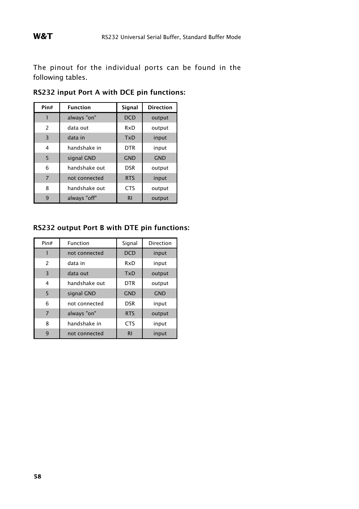The pinout for the individual ports can be found in the following tables.

| Pin#           | <b>Function</b> | Signal         | <b>Direction</b> |
|----------------|-----------------|----------------|------------------|
|                | always "on"     | <b>DCD</b>     | output           |
| 2              | data out        | RxD            | output           |
| 3              | data in         | <b>TxD</b>     | input            |
| 4              | handshake in    | <b>DTR</b>     | input            |
| 5              | signal GND      | <b>GND</b>     | <b>GND</b>       |
| 6              | handshake out   | <b>DSR</b>     | output           |
| $\overline{7}$ | not connected   | <b>RTS</b>     | input            |
| 8              | handshake out   | <b>CTS</b>     | output           |
| 9              | always "off"    | R <sub>1</sub> | output           |

**RS232 input Port A with DCE pin functions:**

#### **RS232 output Port B with DTE pin functions:**

| Pin#           | Function      | Signal         | Direction  |
|----------------|---------------|----------------|------------|
|                | not connected | <b>DCD</b>     | input      |
| $\overline{c}$ | data in       | RxD            | input      |
| 3              | data out      | <b>TxD</b>     | output     |
| 4              | handshake out | <b>DTR</b>     | output     |
| 5              | signal GND    | <b>GND</b>     | <b>GND</b> |
| 6              | not connected | <b>DSR</b>     | input      |
| $\overline{7}$ | always "on"   | <b>RTS</b>     | output     |
| 8              | handshake in  | <b>CTS</b>     | input      |
| 9              | not connected | R <sub>1</sub> | input      |

**58**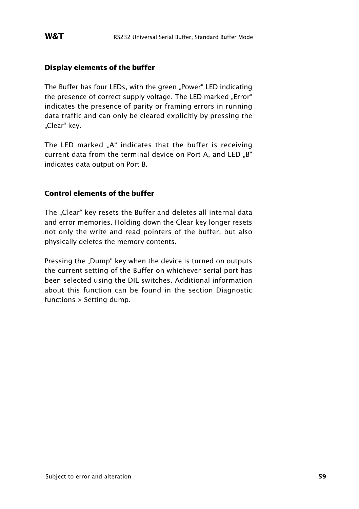#### **Display elements of the buffer**

The Buffer has four LEDs, with the green "Power" LED indicating the presence of correct supply voltage. The LED marked "Error" indicates the presence of parity or framing errors in running data traffic and can only be cleared explicitly by pressing the "Clear" key.

The LED marked ..A" indicates that the buffer is receiving current data from the terminal device on Port A, and LED "B" indicates data output on Port B.

#### **Control elements of the buffer**

The "Clear" key resets the Buffer and deletes all internal data and error memories. Holding down the Clear key longer resets not only the write and read pointers of the buffer, but also physically deletes the memory contents.

Pressing the "Dump" key when the device is turned on outputs the current setting of the Buffer on whichever serial port has been selected using the DIL switches. Additional information about this function can be found in the section Diagnostic functions > Setting-dump.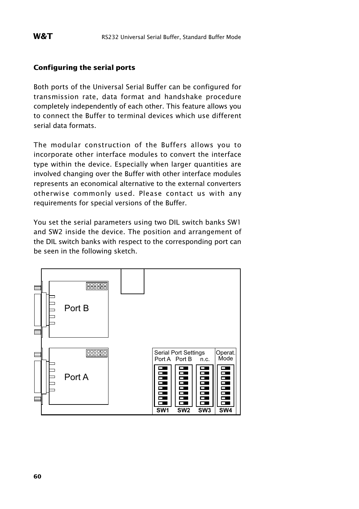#### **Configuring the serial ports**

Both ports of the Universal Serial Buffer can be configured for transmission rate, data format and handshake procedure completely independently of each other. This feature allows you to connect the Buffer to terminal devices which use different serial data formats.

The modular construction of the Buffers allows you to incorporate other interface modules to convert the interface type within the device. Especially when larger quantities are involved changing over the Buffer with other interface modules represents an economical alternative to the external converters otherwise commonly used. Please contact us with any requirements for special versions of the Buffer.

You set the serial parameters using two DIL switch banks SW1 and SW2 inside the device. The position and arrangement of the DIL switch banks with respect to the corresponding port can be seen in the following sketch.

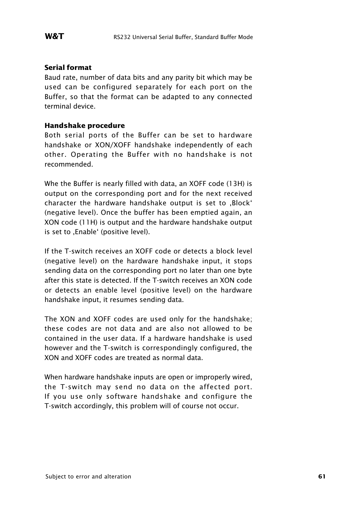#### **Serial format**

Baud rate, number of data bits and any parity bit which may be used can be configured separately for each port on the Buffer, so that the format can be adapted to any connected terminal device.

#### **Handshake procedure**

Both serial ports of the Buffer can be set to hardware handshake or XON/XOFF handshake independently of each other. Operating the Buffer with no handshake is not recommended.

Whe the Buffer is nearly filled with data, an XOFF code (13H) is output on the corresponding port and for the next received character the hardware handshake output is set to .Block' (negative level). Once the buffer has been emptied again, an XON code (11H) is output and the hardware handshake output is set to , Enable' (positive level).

If the T-switch receives an XOFF code or detects a block level (negative level) on the hardware handshake input, it stops sending data on the corresponding port no later than one byte after this state is detected. If the T-switch receives an XON code or detects an enable level (positive level) on the hardware handshake input, it resumes sending data.

The XON and XOFF codes are used only for the handshake; these codes are not data and are also not allowed to be contained in the user data. If a hardware handshake is used however and the T-switch is correspondingly configured, the XON and XOFF codes are treated as normal data.

When hardware handshake inputs are open or improperly wired, the T-switch may send no data on the affected port. If you use only software handshake and configure the T-switch accordingly, this problem will of course not occur.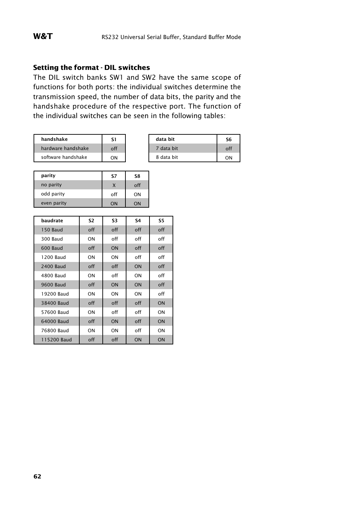#### **Setting the format - DIL switches**

The DIL switch banks SW1 and SW2 have the same scope of functions for both ports: the individual switches determine the transmission speed, the number of data bits, the parity and the handshake procedure of the respective port. The function of the individual switches can be seen in the following tables:

| handshake          | S١  | data bit   | S6 |
|--------------------|-----|------------|----|
| hardware handshake | off | data bit   |    |
| software handshake | ΩN  | 8 data bit | ገN |

| data bit   | S6  |
|------------|-----|
| 7 data bit | off |
| 8 data bit | ΩN  |

| parity      | S7  | S8  |
|-------------|-----|-----|
| no parity   | X   | off |
| odd parity  | off | ON  |
| even parity | ON  | ON  |

| baudrate        | S2  | S3  | S4  | S5  |
|-----------------|-----|-----|-----|-----|
| <b>150 Baud</b> | off | off | off | off |
| 300 Baud        | ON  | off | off | off |
| 600 Baud        | off | ON  | off | off |
| 1200 Baud       | ON  | ON  | off | off |
| 2400 Baud       | off | off | ON  | off |
| 4800 Baud       | ON  | off | ON  | off |
| 9600 Baud       | off | ON  | ON  | off |
| 19200 Baud      | ON  | ON  | ON  | off |
| 38400 Baud      | off | off | off | ON  |
| 57600 Baud      | ON  | off | off | ON  |
| 64000 Baud      | off | ON  | off | ON  |
| 76800 Baud      | ON  | ON  | off | ON  |
| 115200 Baud     | off | off | ON  | ON  |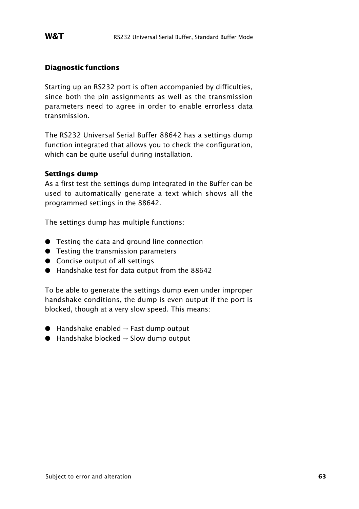#### **Diagnostic functions**

Starting up an RS232 port is often accompanied by difficulties, since both the pin assignments as well as the transmission parameters need to agree in order to enable errorless data transmission.

The RS232 Universal Serial Buffer 88642 has a settings dump function integrated that allows you to check the configuration, which can be quite useful during installation.

#### **Settings dump**

As a first test the settings dump integrated in the Buffer can be used to automatically generate a text which shows all the programmed settings in the 88642.

The settings dump has multiple functions:

- **•** Testing the data and ground line connection
- **•** Testing the transmission parameters
- **•** Concise output of all settings
- Handshake test for data output from the 88642

To be able to generate the settings dump even under improper handshake conditions, the dump is even output if the port is blocked, though at a very slow speed. This means:

- $\bullet$  Handshake enabled  $\rightarrow$  Fast dump output
- $\bullet$  Handshake blocked  $\rightarrow$  Slow dump output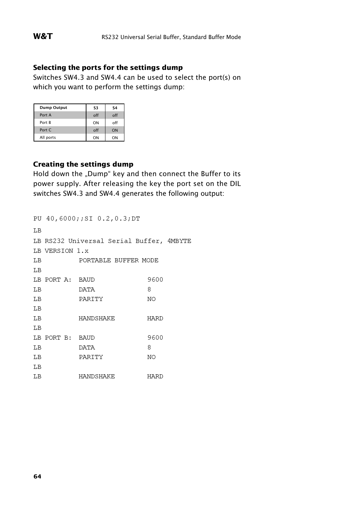#### **Selecting the ports for the settings dump**

Switches SW4.3 and SW4.4 can be used to select the port(s) on which you want to perform the settings dump:

| Dump Output | S3  | S <sub>4</sub> |
|-------------|-----|----------------|
| Port A      | off | off            |
| Port B      | ON  | off            |
| Port C      | off | ON             |
| All ports   | ON  | ON             |

#### **Creating the settings dump**

Hold down the "Dump" key and then connect the Buffer to its power supply. After releasing the key the port set on the DIL switches SW4.3 and SW4.4 generates the following output:

```
PU 40,6000::SI 0.2,0.3:DT
LB
LB RS232 Universal Serial Buffer, 4MBYTE
LB VERSION 1.x
LB PORTABLE BUFFER MODE
T.B
LB PORT A: BAUD
                            9600
LB DATA 8
LB PARITY NO
LB
\begin{tabular}{lllllll} \bf{LB} & \tt{HANDSHAKE} & \tt{HARD} \end{tabular}T.B
LB PORT B: BAUD
                            9600
LB DATA 8
LB PARITY NO
LB
\begin{tabular}{lllllll} \bf{LB} & & & & & & & & & & & \bf{HARD} \end{tabular}
```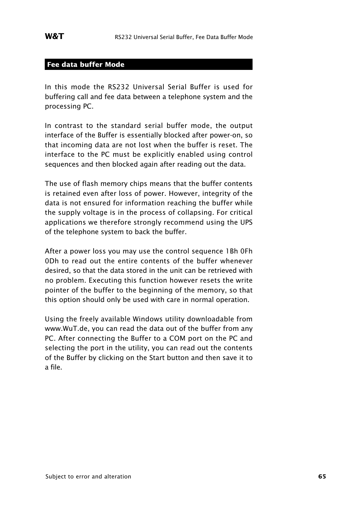#### **Fee data buffer Mode**

In this mode the RS232 Universal Serial Buffer is used for buffering call and fee data between a telephone system and the processing PC.

In contrast to the standard serial buffer mode, the output interface of the Buffer is essentially blocked after power-on, so that incoming data are not lost when the buffer is reset. The interface to the PC must be explicitly enabled using control sequences and then blocked again after reading out the data.

The use of flash memory chips means that the buffer contents is retained even after loss of power. However, integrity of the data is not ensured for information reaching the buffer while the supply voltage is in the process of collapsing. For critical applications we therefore strongly recommend using the UPS of the telephone system to back the buffer.

After a power loss you may use the control sequence 1Bh 0Fh 0Dh to read out the entire contents of the buffer whenever desired, so that the data stored in the unit can be retrieved with no problem. Executing this function however resets the write pointer of the buffer to the beginning of the memory, so that this option should only be used with care in normal operation.

Using the freely available Windows utility downloadable from www.WuT.de, you can read the data out of the buffer from any PC. After connecting the Buffer to a COM port on the PC and selecting the port in the utility, you can read out the contents of the Buffer by clicking on the Start button and then save it to a file.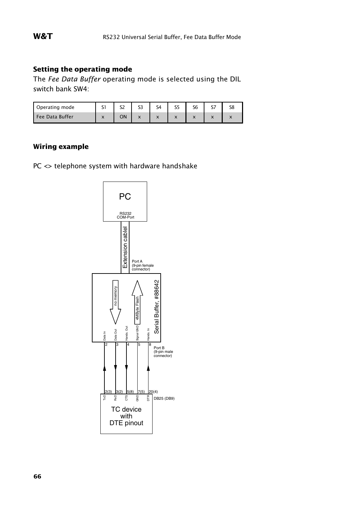#### **Setting the operating mode**

The *Fee Data Buffer* operating mode is selected using the DIL switch bank SW4:

| Operating mode  | $\sim$<br>◡                           | cn | $\sim$<br>ככ             | $\varsigma_4$                         | ر د                      | $\overline{\phantom{a}}$ | $\sim$<br>- |           |
|-----------------|---------------------------------------|----|--------------------------|---------------------------------------|--------------------------|--------------------------|-------------|-----------|
| Fee Data Buffer | $\overline{\phantom{a}}$<br>$\lambda$ | ON | $\overline{\phantom{a}}$ | $\overline{\phantom{a}}$<br>$\lambda$ | $\overline{\phantom{a}}$ |                          | . .         | $\lambda$ |

#### **Wiring example**

PC <> telephone system with hardware handshake

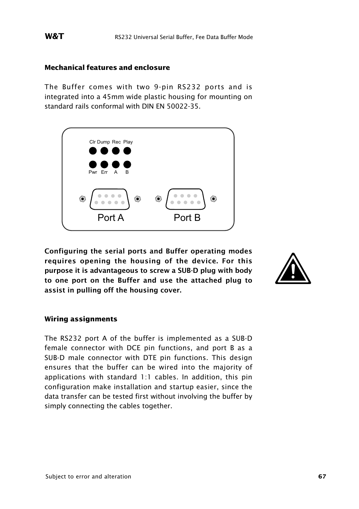#### **Mechanical features and enclosure**

The Buffer comes with two 9-pin RS232 ports and is integrated into a 45mm wide plastic housing for mounting on standard rails conformal with DIN EN 50022-35.



**Configuring the serial ports and Buffer operating modes requires opening the housing of the device. For this purpose it is advantageous to screw a SUB-D plug with body to one port on the Buffer and use the attached plug to assist in pulling off the housing cover.**



#### **Wiring assignments**

The RS232 port A of the buffer is implemented as a SUB-D female connector with DCE pin functions, and port B as a SUB-D male connector with DTE pin functions. This design ensures that the buffer can be wired into the majority of applications with standard 1:1 cables. In addition, this pin configuration make installation and startup easier, since the data transfer can be tested first without involving the buffer by simply connecting the cables together.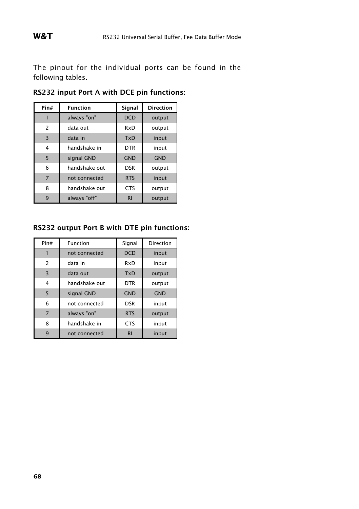The pinout for the individual ports can be found in the following tables.

| Pin#           | <b>Function</b> | Signal     | <b>Direction</b> |
|----------------|-----------------|------------|------------------|
|                | always "on"     | <b>DCD</b> | output           |
| 2              | data out        | RxD        | output           |
| $\overline{3}$ | data in         | TxD        | input            |
| 4              | handshake in    | <b>DTR</b> | input            |
| 5              | signal GND      | <b>GND</b> | <b>GND</b>       |
| 6              | handshake out   | <b>DSR</b> | output           |
| $\overline{7}$ | not connected   | <b>RTS</b> | input            |
| 8              | handshake out   | <b>CTS</b> | output           |
| 9              | always "off"    | R1         | output           |

**RS232 input Port A with DCE pin functions:**

#### **RS232 output Port B with DTE pin functions:**

| Pin#           | Function      | Signal     | Direction  |
|----------------|---------------|------------|------------|
|                | not connected | <b>DCD</b> | input      |
| $\overline{c}$ | data in       | RxD        | input      |
| 3              | data out      | <b>TxD</b> | output     |
| 4              | handshake out | <b>DTR</b> | output     |
| 5              | signal GND    | <b>GND</b> | <b>GND</b> |
| 6              | not connected | <b>DSR</b> | input      |
| $\overline{7}$ | always "on"   | <b>RTS</b> | output     |
| 8              | handshake in  | <b>CTS</b> | input      |
| 9              | not connected | R1         | input      |

**68**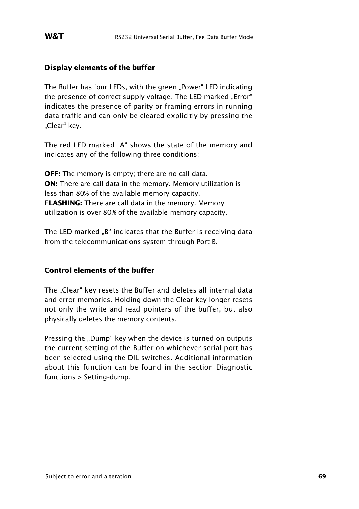#### **Display elements of the buffer**

The Buffer has four LEDs, with the green "Power" LED indicating the presence of correct supply voltage. The LED marked "Error" indicates the presence of parity or framing errors in running data traffic and can only be cleared explicitly by pressing the "Clear" key.

The red LED marked ..A" shows the state of the memory and indicates any of the following three conditions:

**OFF:** The memory is empty; there are no call data. **ON:** There are call data in the memory. Memory utilization is less than 80% of the available memory capacity. **FLASHING:** There are call data in the memory. Memory utilization is over 80% of the available memory capacity.

The LED marked "B" indicates that the Buffer is receiving data from the telecommunications system through Port B.

#### **Control elements of the buffer**

The "Clear" key resets the Buffer and deletes all internal data and error memories. Holding down the Clear key longer resets not only the write and read pointers of the buffer, but also physically deletes the memory contents.

Pressing the "Dump" key when the device is turned on outputs the current setting of the Buffer on whichever serial port has been selected using the DIL switches. Additional information about this function can be found in the section Diagnostic functions > Setting-dump.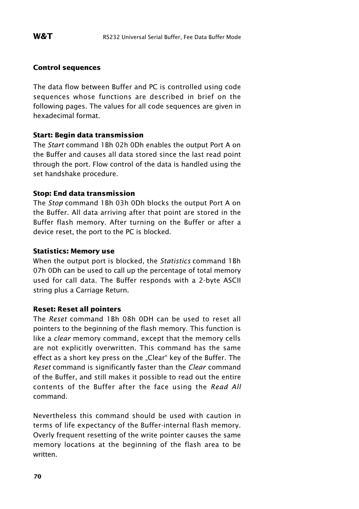#### **Control sequences**

The data flow between Buffer and PC is controlled using code sequences whose functions are described in brief on the following pages. The values for all code sequences are given in hexadecimal format.

#### **Start: Begin data transmission**

The *Start* command 1Bh 02h 0Dh enables the output Port A on the Buffer and causes all data stored since the last read point through the port. Flow control of the data is handled using the set handshake procedure.

#### **Stop: End data transmission**

The *Stop* command 1Bh 03h 0Dh blocks the output Port A on the Buffer. All data arriving after that point are stored in the Buffer flash memory. After turning on the Buffer or after a device reset, the port to the PC is blocked.

#### **Statistics: Memory use**

When the output port is blocked, the *Statistics* command 1Bh 07h 0Dh can be used to call up the percentage of total memory used for call data. The Buffer responds with a 2-byte ASCII string plus a Carriage Return.

#### **Reset: Reset all pointers**

The *Reset* command 1Bh 08h 0DH can be used to reset all pointers to the beginning of the flash memory. This function is like a *clear* memory command, except that the memory cells are not explicitly overwritten. This command has the same effect as a short key press on the "Clear" key of the Buffer. The *Reset* command is significantly faster than the *Clear* command of the Buffer, and still makes it possible to read out the entire contents of the Buffer after the face using the *Read All* command.

Nevertheless this command should be used with caution in terms of life expectancy of the Buffer-internal flash memory. Overly frequent resetting of the write pointer causes the same memory locations at the beginning of the flash area to be written.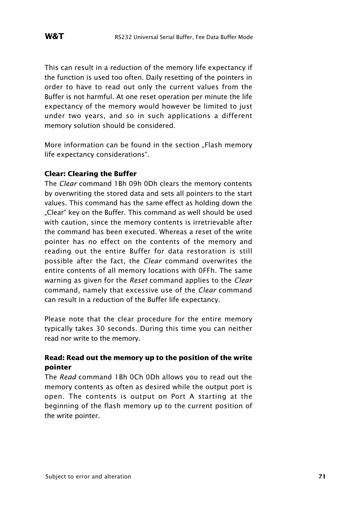This can result in a reduction of the memory life expectancy if the function is used too often. Daily resetting of the pointers in order to have to read out only the current values from the Buffer is not harmful. At one reset operation per minute the life expectancy of the memory would however be limited to just under two years, and so in such applications a different memory solution should be considered.

More information can be found in the section ..Flash memory life expectancy considerations".

#### **Clear: Clearing the Buffer**

The *Clear* command 1Bh 09h 0Dh clears the memory contents by overwriting the stored data and sets all pointers to the start values. This command has the same effect as holding down the ..Clear" key on the Buffer. This command as well should be used with caution, since the memory contents is irretrievable after the command has been executed. Whereas a reset of the write pointer has no effect on the contents of the memory and reading out the entire Buffer for data restoration is still possible after the fact, the *Clear* command overwrites the entire contents of all memory locations with 0FFh. The same warning as given for the *Reset* command applies to the *Clear* command, namely that excessive use of the *Clear* command can result in a reduction of the Buffer life expectancy.

Please note that the clear procedure for the entire memory typically takes 30 seconds. During this time you can neither read nor write to the memory.

#### **Read: Read out the memory up to the position of the write pointer**

The *Read* command 1Bh 0Ch 0Dh allows you to read out the memory contents as often as desired while the output port is open. The contents is output on Port A starting at the beginning of the flash memory up to the current position of the write pointer.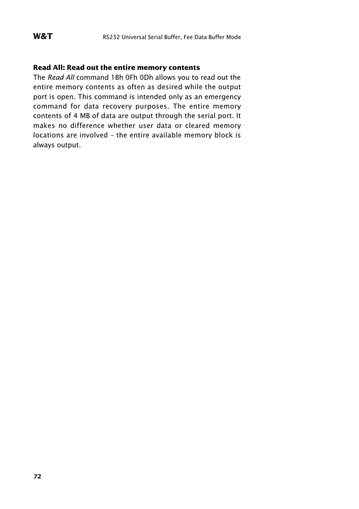#### **Read All: Read out the entire memory contents**

The *Read All* command 1Bh 0Fh 0Dh allows you to read out the entire memory contents as often as desired while the output port is open. This command is intended only as an emergency command for data recovery purposes. The entire memory contents of 4 MB of data are output through the serial port. It makes no difference whether user data or cleared memory locations are involved – the entire available memory block is always output.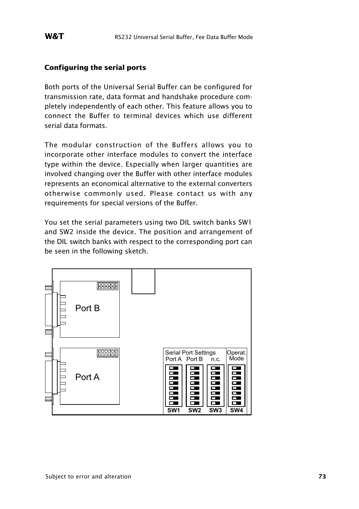#### **Configuring the serial ports**

Both ports of the Universal Serial Buffer can be configured for transmission rate, data format and handshake procedure completely independently of each other. This feature allows you to connect the Buffer to terminal devices which use different serial data formats.

The modular construction of the Buffers allows you to incorporate other interface modules to convert the interface type within the device. Especially when larger quantities are involved changing over the Buffer with other interface modules represents an economical alternative to the external converters otherwise commonly used. Please contact us with any requirements for special versions of the Buffer.

You set the serial parameters using two DIL switch banks SW1 and SW2 inside the device. The position and arrangement of the DIL switch banks with respect to the corresponding port can be seen in the following sketch.

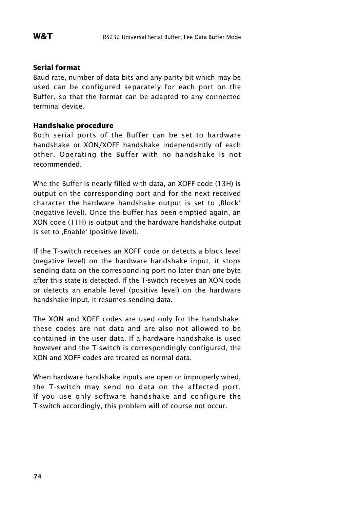#### **Serial format**

Baud rate, number of data bits and any parity bit which may be used can be configured separately for each port on the Buffer, so that the format can be adapted to any connected terminal device.

#### **Handshake procedure**

Both serial ports of the Buffer can be set to hardware handshake or XON/XOFF handshake independently of each other. Operating the Buffer with no handshake is not recommended.

Whe the Buffer is nearly filled with data, an XOFF code (13H) is output on the corresponding port and for the next received character the hardware handshake output is set to .Block' (negative level). Once the buffer has been emptied again, an XON code (11H) is output and the hardware handshake output is set to , Enable' (positive level).

If the T-switch receives an XOFF code or detects a block level (negative level) on the hardware handshake input, it stops sending data on the corresponding port no later than one byte after this state is detected. If the T-switch receives an XON code or detects an enable level (positive level) on the hardware handshake input, it resumes sending data.

The XON and XOFF codes are used only for the handshake; these codes are not data and are also not allowed to be contained in the user data. If a hardware handshake is used however and the T-switch is correspondingly configured, the XON and XOFF codes are treated as normal data.

When hardware handshake inputs are open or improperly wired, the T-switch may send no data on the affected port. If you use only software handshake and configure the T-switch accordingly, this problem will of course not occur.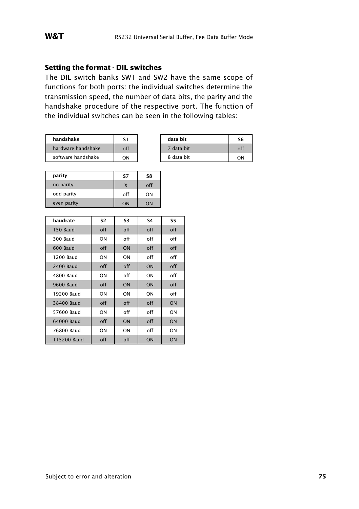#### **Setting the format - DIL switches**

The DIL switch banks SW1 and SW2 have the same scope of functions for both ports: the individual switches determine the transmission speed, the number of data bits, the parity and the handshake procedure of the respective port. The function of the individual switches can be seen in the following tables:

| handshake          | S1  | data bit   | S6  |
|--------------------|-----|------------|-----|
| hardware handshake | off | 7 data bit | off |
| software handshake | ON  | 8 data bit | nN  |

| data bit   | S6 |
|------------|----|
| 7 data bit |    |
| 8 data bit |    |

| parity      | S7  | S8  |
|-------------|-----|-----|
| no parity   |     | off |
| odd parity  | off | ON  |
| even parity | ΩN  | ΩN  |

| baudrate         | S2  | S3  | S4  | S5        |
|------------------|-----|-----|-----|-----------|
| 150 Baud         | off | off | off | off       |
| 300 Baud         | ON  | off | off | off       |
| 600 Baud         | off | ON  | off | off       |
| 1200 Baud        | ON  | ON  | off | off       |
| <b>2400 Baud</b> | off | off | ON  | off       |
| 4800 Baud        | ON  | off | ON  | off       |
| 9600 Baud        | off | ON  | ON  | off       |
| 19200 Baud       | ON  | ON  | ON  | off       |
| 38400 Baud       | off | off | off | <b>ON</b> |
| 57600 Baud       | ON  | off | off | ON        |
| 64000 Baud       | off | ON  | off | ON        |
| 76800 Baud       | ON  | ON  | off | ON        |
| 115200 Baud      | off | off | ON  | ON        |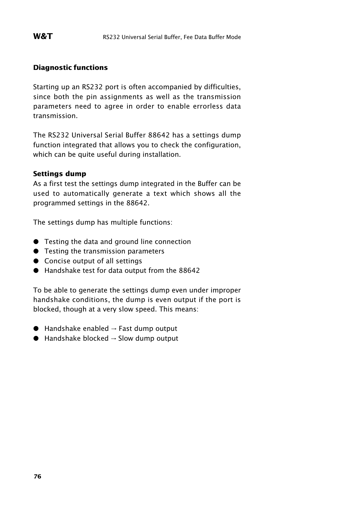#### **Diagnostic functions**

Starting up an RS232 port is often accompanied by difficulties, since both the pin assignments as well as the transmission parameters need to agree in order to enable errorless data transmission.

The RS232 Universal Serial Buffer 88642 has a settings dump function integrated that allows you to check the configuration, which can be quite useful during installation.

#### **Settings dump**

As a first test the settings dump integrated in the Buffer can be used to automatically generate a text which shows all the programmed settings in the 88642.

The settings dump has multiple functions:

- : Testing the data and ground line connection
- **•** Testing the transmission parameters
- **•** Concise output of all settings
- : Handshake test for data output from the 88642

To be able to generate the settings dump even under improper handshake conditions, the dump is even output if the port is blocked, though at a very slow speed. This means:

- $\bullet$  Handshake enabled  $\rightarrow$  Fast dump output
- $\bullet$  Handshake blocked  $\rightarrow$  Slow dump output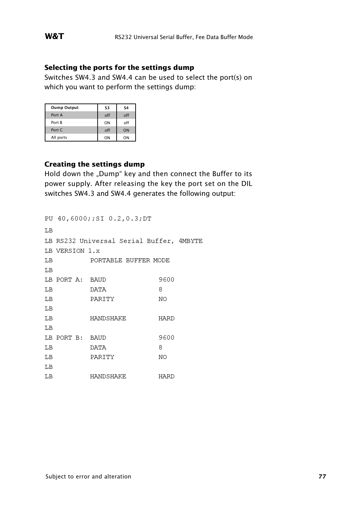#### **Selecting the ports for the settings dump**

Switches SW4.3 and SW4.4 can be used to select the port(s) on which you want to perform the settings dump:

| <b>Dump Output</b> | S3  | S4  |
|--------------------|-----|-----|
| Port A             | off | off |
| Port B             | ON  | off |
| Port C             | off | ON  |
| All ports          | ON  | ON  |

#### **Creating the settings dump**

Hold down the "Dump" key and then connect the Buffer to its power supply. After releasing the key the port set on the DIL switches SW4.3 and SW4.4 generates the following output:

|    |                 | PU 40,6000;;SI 0.2,0.3;DT                |      |
|----|-----------------|------------------------------------------|------|
| LB |                 |                                          |      |
|    |                 | LB RS232 Universal Serial Buffer, 4MBYTE |      |
|    | LB VERSION 1.x  |                                          |      |
| LВ |                 | PORTABLE BUFFER MODE                     |      |
| LB |                 |                                          |      |
|    | LB PORT A: BAUD |                                          | 9600 |
| LВ |                 | DATA                                     | 8    |
| LВ |                 | PARITY                                   | NO   |
| LВ |                 |                                          |      |
| LВ |                 | HANDSHAKE                                | HARD |
| LВ |                 |                                          |      |
|    | LB PORT B: BAUD |                                          | 9600 |
| LВ |                 | <b>DATA</b>                              | 8    |
| LВ |                 | PARITY                                   | NO   |
| LВ |                 |                                          |      |
| LΒ |                 | HANDSHAKE                                | HARD |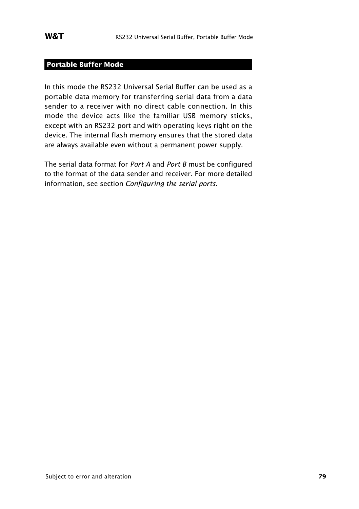### **Portable Buffer Mode**

In this mode the RS232 Universal Serial Buffer can be used as a portable data memory for transferring serial data from a data sender to a receiver with no direct cable connection. In this mode the device acts like the familiar USB memory sticks, except with an RS232 port and with operating keys right on the device. The internal flash memory ensures that the stored data are always available even without a permanent power supply.

The serial data format for *Port A* and *Port B* must be configured to the format of the data sender and receiver. For more detailed information, see section *Configuring the serial ports*.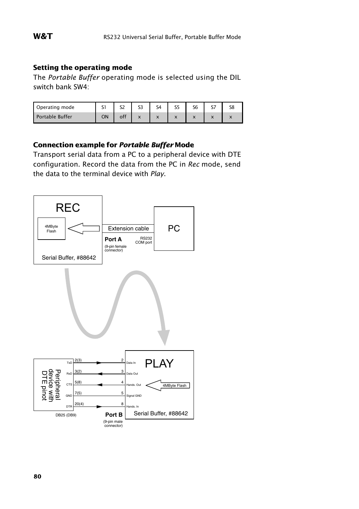#### **Setting the operating mode**

The *Portable Buffer* operating mode is selected using the DIL switch bank SW4:

| Operating mode  | ◡  |     | $\sim$ | ۲4                                |                                          | $-$ |  |
|-----------------|----|-----|--------|-----------------------------------|------------------------------------------|-----|--|
| Portable Buffer | ON | off |        | $\ddot{\phantom{0}}$<br>$\lambda$ | $\overline{\phantom{a}}$<br>$\mathbf{v}$ |     |  |

#### **Connection example for** *Portable Buffer* **Mode**

Transport serial data from a PC to a peripheral device with DTE configuration. Record the data from the PC in *Rec* mode, send the data to the terminal device with *Play*.

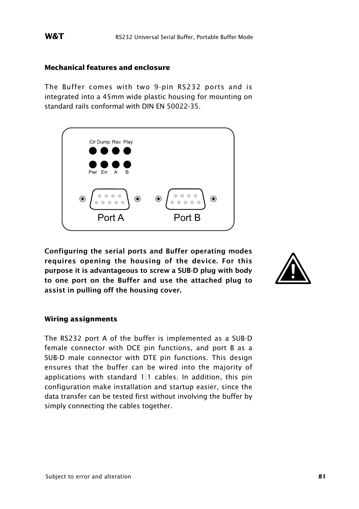#### **Mechanical features and enclosure**

The Buffer comes with two 9-pin RS232 ports and is integrated into a 45mm wide plastic housing for mounting on standard rails conformal with DIN EN 50022-35.



**Configuring the serial ports and Buffer operating modes requires opening the housing of the device. For this purpose it is advantageous to screw a SUB-D plug with body to one port on the Buffer and use the attached plug to assist in pulling off the housing cover.**



#### **Wiring assignments**

The RS232 port A of the buffer is implemented as a SUB-D female connector with DCE pin functions, and port B as a SUB-D male connector with DTE pin functions. This design ensures that the buffer can be wired into the majority of applications with standard 1:1 cables. In addition, this pin configuration make installation and startup easier, since the data transfer can be tested first without involving the buffer by simply connecting the cables together.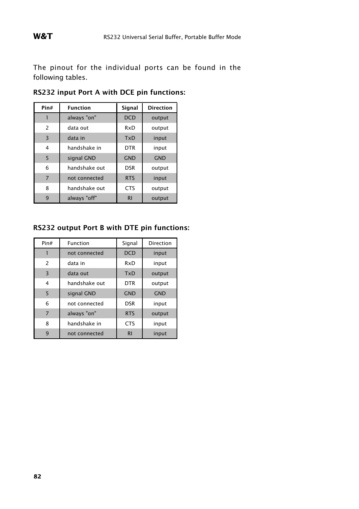The pinout for the individual ports can be found in the following tables.

| Pin#           | <b>Function</b> | Signal     | <b>Direction</b> |
|----------------|-----------------|------------|------------------|
|                | always "on"     | <b>DCD</b> | output           |
| 2              | data out        | RxD        | output           |
| $\overline{3}$ | data in         | TxD        | input            |
| 4              | handshake in    | <b>DTR</b> | input            |
| 5              | signal GND      | <b>GND</b> | <b>GND</b>       |
| 6              | handshake out   | <b>DSR</b> | output           |
| $\overline{7}$ | not connected   | <b>RTS</b> | input            |
| 8              | handshake out   | <b>CTS</b> | output           |
| 9              | always "off"    | R1         | output           |

**RS232 input Port A with DCE pin functions:**

#### **RS232 output Port B with DTE pin functions:**

| Pin#           | Function      | Signal     | Direction  |
|----------------|---------------|------------|------------|
|                | not connected | <b>DCD</b> | input      |
| $\overline{c}$ | data in       | RxD        | input      |
| 3              | data out      | <b>TxD</b> | output     |
| 4              | handshake out | <b>DTR</b> | output     |
| 5              | signal GND    | <b>GND</b> | <b>GND</b> |
| 6              | not connected | <b>DSR</b> | input      |
| $\overline{7}$ | always "on"   | <b>RTS</b> | output     |
| 8              | handshake in  | <b>CTS</b> | input      |
| 9              | not connected | R1         | input      |

**82**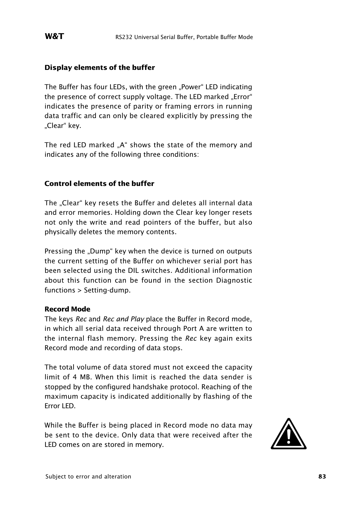#### **Display elements of the buffer**

The Buffer has four LEDs, with the green "Power" LED indicating the presence of correct supply voltage. The LED marked "Error" indicates the presence of parity or framing errors in running data traffic and can only be cleared explicitly by pressing the "Clear" key.

The red LED marked ..A" shows the state of the memory and indicates any of the following three conditions:

#### **Control elements of the buffer**

The "Clear" key resets the Buffer and deletes all internal data and error memories. Holding down the Clear key longer resets not only the write and read pointers of the buffer, but also physically deletes the memory contents.

Pressing the "Dump" key when the device is turned on outputs the current setting of the Buffer on whichever serial port has been selected using the DIL switches. Additional information about this function can be found in the section Diagnostic functions > Setting-dump.

#### **Record Mode**

The keys *Rec* and *Rec and Play* place the Buffer in Record mode, in which all serial data received through Port A are written to the internal flash memory. Pressing the *Rec* key again exits Record mode and recording of data stops.

The total volume of data stored must not exceed the capacity limit of 4 MB. When this limit is reached the data sender is stopped by the configured handshake protocol. Reaching of the maximum capacity is indicated additionally by flashing of the Error LED.

While the Buffer is being placed in Record mode no data may be sent to the device. Only data that were received after the While the Buffer is being placed in Record mode no data may<br>be sent to the device. Only data that were received after the<br>LED comes on are stored in memory.

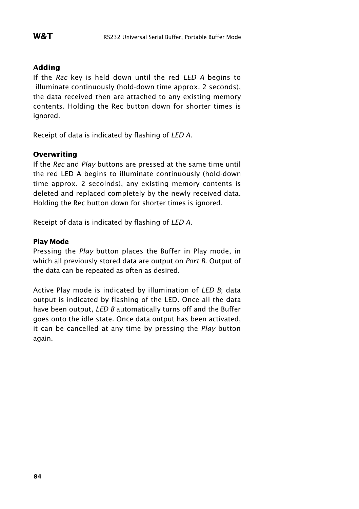#### **Adding**

If the *Rec* key is held down until the red *LED A* begins to illuminate continuously (hold-down time approx. 2 seconds), the data received then are attached to any existing memory contents. Holding the Rec button down for shorter times is ignored.

Receipt of data is indicated by flashing of *LED A*.

#### **Overwriting**

If the *Rec* and *Play* buttons are pressed at the same time until the red LED A begins to illuminate continuously (hold-down time approx. 2 secolnds), any existing memory contents is deleted and replaced completely by the newly received data. Holding the Rec button down for shorter times is ignored.

Receipt of data is indicated by flashing of *LED A*.

#### **Play Mode**

Pressing the *Play* button places the Buffer in Play mode, in which all previously stored data are output on *Port B*. Output of the data can be repeated as often as desired.

Active Play mode is indicated by illumination of *LED B*; data output is indicated by flashing of the LED. Once all the data have been output, *LED B* automatically turns off and the Buffer goes onto the idle state. Once data output has been activated, it can be cancelled at any time by pressing the *Play* button again.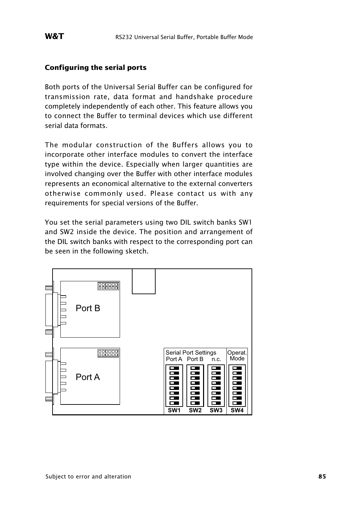#### **Configuring the serial ports**

Both ports of the Universal Serial Buffer can be configured for transmission rate, data format and handshake procedure completely independently of each other. This feature allows you to connect the Buffer to terminal devices which use different serial data formats.

The modular construction of the Buffers allows you to incorporate other interface modules to convert the interface type within the device. Especially when larger quantities are involved changing over the Buffer with other interface modules represents an economical alternative to the external converters otherwise commonly used. Please contact us with any requirements for special versions of the Buffer.

You set the serial parameters using two DIL switch banks SW1 and SW2 inside the device. The position and arrangement of the DIL switch banks with respect to the corresponding port can be seen in the following sketch.

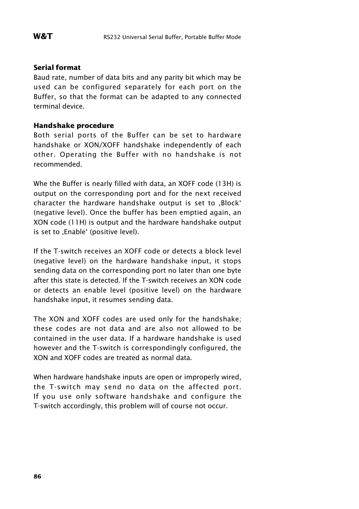#### **Serial format**

Baud rate, number of data bits and any parity bit which may be used can be configured separately for each port on the Buffer, so that the format can be adapted to any connected terminal device.

#### **Handshake procedure**

Both serial ports of the Buffer can be set to hardware handshake or XON/XOFF handshake independently of each other. Operating the Buffer with no handshake is not recommended.

Whe the Buffer is nearly filled with data, an XOFF code (13H) is output on the corresponding port and for the next received character the hardware handshake output is set to , Block' (negative level). Once the buffer has been emptied again, an XON code (11H) is output and the hardware handshake output is set to , Enable' (positive level).

If the T-switch receives an XOFF code or detects a block level (negative level) on the hardware handshake input, it stops sending data on the corresponding port no later than one byte after this state is detected. If the T-switch receives an XON code or detects an enable level (positive level) on the hardware handshake input, it resumes sending data.

The XON and XOFF codes are used only for the handshake; these codes are not data and are also not allowed to be contained in the user data. If a hardware handshake is used however and the T-switch is correspondingly configured, the XON and XOFF codes are treated as normal data.

When hardware handshake inputs are open or improperly wired, the T-switch may send no data on the affected port. If you use only software handshake and configure the T-switch accordingly, this problem will of course not occur.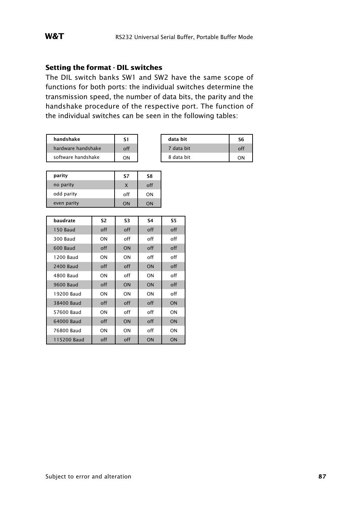#### **Setting the format - DIL switches**

The DIL switch banks SW1 and SW2 have the same scope of functions for both ports: the individual switches determine the transmission speed, the number of data bits, the parity and the handshake procedure of the respective port. The function of the individual switches can be seen in the following tables:

| handshake          |     | data bit   | S6 |
|--------------------|-----|------------|----|
| hardware handshake | off | 7 data bit |    |
| software handshake | OΝ  | 8 data bit | nΝ |

| data bit   | ۲6 |
|------------|----|
| 7 data bit |    |
| 8 data bit |    |

| parity      | S7  | S8  |
|-------------|-----|-----|
| no parity   |     | off |
| odd parity  | off | ON  |
| even parity | ON  | KC  |

| baudrate    | S2  | S3  | S4  | S5        |
|-------------|-----|-----|-----|-----------|
| 150 Baud    | off | off | off | off       |
| 300 Baud    | ON  | off | off | off       |
| 600 Baud    | off | ON  | off | off       |
| 1200 Baud   | ON  | ON  | off | off       |
| 2400 Baud   | off | off | ON  | off       |
| 4800 Baud   | ON  | off | ON  | off       |
| 9600 Baud   | off | ON  | ON  | off       |
| 19200 Baud  | ON  | ON  | ON  | off       |
| 38400 Baud  | off | off | off | <b>ON</b> |
| 57600 Baud  | ON  | off | off | ON        |
| 64000 Baud  | off | ON  | off | <b>ON</b> |
| 76800 Baud  | ON  | ON  | off | ON        |
| 115200 Baud | off | off | ON  | ON        |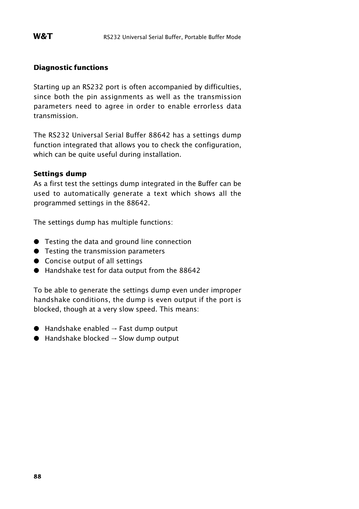#### **Diagnostic functions**

Starting up an RS232 port is often accompanied by difficulties, since both the pin assignments as well as the transmission parameters need to agree in order to enable errorless data transmission.

The RS232 Universal Serial Buffer 88642 has a settings dump function integrated that allows you to check the configuration, which can be quite useful during installation.

#### **Settings dump**

As a first test the settings dump integrated in the Buffer can be used to automatically generate a text which shows all the programmed settings in the 88642.

The settings dump has multiple functions:

- **•** Testing the data and ground line connection
- **•** Testing the transmission parameters
- **•** Concise output of all settings
- : Handshake test for data output from the 88642

To be able to generate the settings dump even under improper handshake conditions, the dump is even output if the port is blocked, though at a very slow speed. This means:

- $\bullet$  Handshake enabled  $\rightarrow$  Fast dump output
- $\bullet$  Handshake blocked  $\rightarrow$  Slow dump output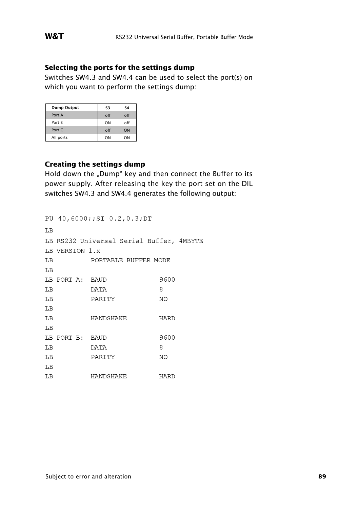#### **Selecting the ports for the settings dump**

Switches SW4.3 and SW4.4 can be used to select the port(s) on which you want to perform the settings dump:

| <b>Dump Output</b> | S3  | S <sub>4</sub> |
|--------------------|-----|----------------|
| Port A             | off | off            |
| Port <b>B</b>      | ON  | off            |
| Port C             | off | ON             |
| All ports          | ON  | ON             |

#### **Creating the settings dump**

Hold down the "Dump" key and then connect the Buffer to its power supply. After releasing the key the port set on the DIL switches SW4.3 and SW4.4 generates the following output:

|    |                 | PU 40,6000;;SI 0.2,0.3;DT                |             |
|----|-----------------|------------------------------------------|-------------|
| LВ |                 |                                          |             |
|    |                 | LB RS232 Universal Serial Buffer, 4MBYTE |             |
|    | LB VERSION 1.x  |                                          |             |
| LВ |                 | PORTABLE BUFFER MODE                     |             |
| LВ |                 |                                          |             |
|    | LB PORT A: BAUD |                                          | 9600        |
| LВ |                 | <b>DATA</b>                              | 8           |
| LВ |                 | PARITY                                   | NO          |
| LВ |                 |                                          |             |
| LВ |                 | HANDSHAKE                                | HARD        |
| LВ |                 |                                          |             |
|    | LB PORT B: BAUD |                                          | 9600        |
| LВ |                 | DATA                                     | 8           |
| LВ |                 | PARITY                                   | <b>NO</b>   |
| LВ |                 |                                          |             |
| LВ |                 | HANDSHAKE                                | <b>HARD</b> |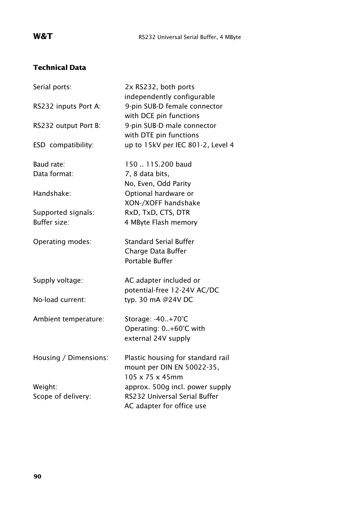### **Technical Data**

| Serial ports:         | 2x RS232, both ports<br>independently configurable                                              |
|-----------------------|-------------------------------------------------------------------------------------------------|
| RS232 inputs Port A:  | 9-pin SUB-D female connector<br>with DCE pin functions                                          |
| RS232 output Port B:  | 9-pin SUB-D male connector<br>with DTE pin functions                                            |
| ESD compatibility:    | up to 15kV per IEC 801-2, Level 4                                                               |
| Baud rate:            | 150  115.200 baud                                                                               |
| Data format:          | 7, 8 data bits,                                                                                 |
|                       | No, Even, Odd Parity                                                                            |
| Handshake:            | Optional hardware or                                                                            |
|                       | XON-/XOFF handshake                                                                             |
| Supported signals:    | RxD, TxD, CTS, DTR                                                                              |
| <b>Buffer size:</b>   | 4 MByte Flash memory                                                                            |
| Operating modes:      | <b>Standard Serial Buffer</b><br>Charge Data Buffer<br>Portable Buffer                          |
|                       |                                                                                                 |
| Supply voltage:       | AC adapter included or                                                                          |
|                       | potential-free 12-24V AC/DC                                                                     |
| No-load current:      | typ. 30 mA @24V DC                                                                              |
| Ambient temperature:  | Storage: -40+70°C                                                                               |
|                       | Operating: 0+60°C with                                                                          |
|                       | external 24V supply                                                                             |
| Housing / Dimensions: | Plastic housing for standard rail<br>mount per DIN EN 50022-35,<br>$105 \times 75 \times 45$ mm |
| Weight:               | approx. 500g incl. power supply                                                                 |
| Scope of delivery:    | RS232 Universal Serial Buffer                                                                   |
|                       | AC adapter for office use                                                                       |